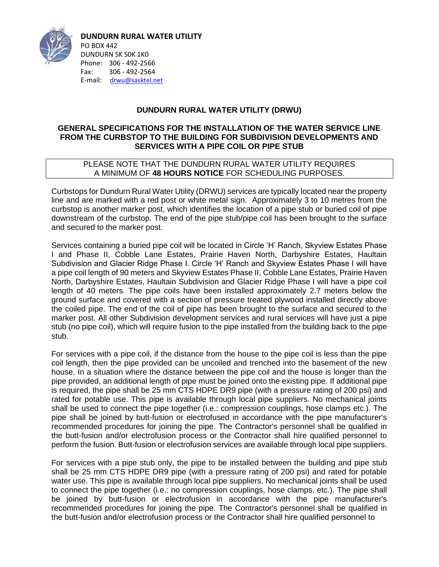

**DUNDURN RURAL WATER UTILITY** PO BOX 442 DUNDURN SK S0K 1K0 Phone: 306 - 492-2566 Fax: 306 - 492-2564 E-mail: [drwu@sasktel.net](mailto:drwu@sasktel.net)

### **DUNDURN RURAL WATER UTILITY (DRWU)**

#### **GENERAL SPECIFICATIONS FOR THE INSTALLATION OF THE WATER SERVICE LINE FROM THE CURBSTOP TO THE BUILDING FOR SUBDIVISION DEVELOPMENTS AND SERVICES WITH A PIPE COIL OR PIPE STUB**

#### PLEASE NOTE THAT THE DUNDURN RURAL WATER UTILITY REQUIRES A MINIMUM OF **48 HOURS NOTICE** FOR SCHEDULING PURPOSES.

Curbstops for Dundurn Rural Water Utility (DRWU) services are typically located near the property line and are marked with a red post or white metal sign. Approximately 3 to 10 metres from the curbstop is another marker post, which identifies the location of a pipe stub or buried coil of pipe downstream of the curbstop. The end of the pipe stub/pipe coil has been brought to the surface and secured to the marker post.

Services containing a buried pipe coil will be located in Circle 'H' Ranch, Skyview Estates Phase I and Phase II, Cobble Lane Estates, Prairie Haven North, Darbyshire Estates, Haultain Subdivision and Glacier Ridge Phase I. Circle 'H' Ranch and Skyview Estates Phase I will have a pipe coil length of 90 meters and Skyview Estates Phase II, Cobble Lane Estates, Prairie Haven North, Darbyshire Estates, Haultain Subdivision and Glacier Ridge Phase I will have a pipe coil length of 40 meters. The pipe coils have been installed approximately 2.7 meters below the ground surface and covered with a section of pressure treated plywood installed directly above the coiled pipe. The end of the coil of pipe has been brought to the surface and secured to the marker post. All other Subdivision development services and rural services will have just a pipe stub (no pipe coil), which will require fusion to the pipe installed from the building back to the pipe stub.

For services with a pipe coil, if the distance from the house to the pipe coil is less than the pipe coil length, then the pipe provided can be uncoiled and trenched into the basement of the new house. In a situation where the distance between the pipe coil and the house is longer than the pipe provided, an additional length of pipe must be joined onto the existing pipe. If additional pipe is required, the pipe shall be 25 mm CTS HDPE DR9 pipe (with a pressure rating of 200 psi) and rated for potable use. This pipe is available through local pipe suppliers. No mechanical joints shall be used to connect the pipe together (i.e.: compression couplings, hose clamps etc.). The pipe shall be joined by butt-fusion or electrofused in accordance with the pipe manufacturer's recommended procedures for joining the pipe. The Contractor's personnel shall be qualified in the butt-fusion and/or electrofusion process or the Contractor shall hire qualified personnel to perform the fusion. Butt-fusion or electrofusion services are available through local pipe suppliers.

For services with a pipe stub only, the pipe to be installed between the building and pipe stub shall be 25 mm CTS HDPE DR9 pipe (with a pressure rating of 200 psi) and rated for potable water use. This pipe is available through local pipe suppliers. No mechanical joints shall be used to connect the pipe together (i.e.: no compression couplings, hose clamps, etc.). The pipe shall be joined by butt-fusion or electrofusion in accordance with the pipe manufacturer's recommended procedures for joining the pipe. The Contractor's personnel shall be qualified in the butt-fusion and/or electrofusion process or the Contractor shall hire qualified personnel to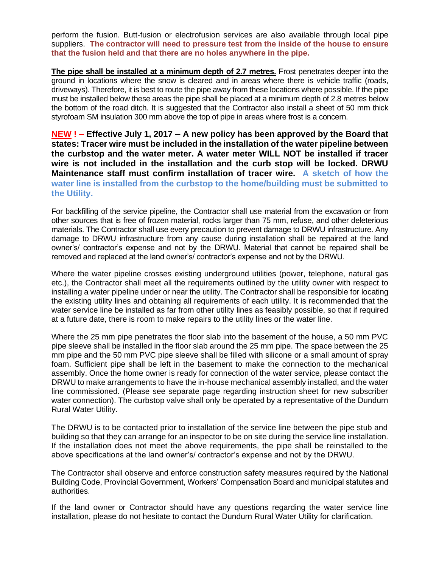perform the fusion. Butt-fusion or electrofusion services are also available through local pipe suppliers. **The contractor will need to pressure test from the inside of the house to ensure that the fusion held and that there are no holes anywhere in the pipe.** 

**The pipe shall be installed at a minimum depth of 2.7 metres.** Frost penetrates deeper into the ground in locations where the snow is cleared and in areas where there is vehicle traffic (roads, driveways). Therefore, it is best to route the pipe away from these locations where possible. If the pipe must be installed below these areas the pipe shall be placed at a minimum depth of 2.8 metres below the bottom of the road ditch. It is suggested that the Contractor also install a sheet of 50 mm thick styrofoam SM insulation 300 mm above the top of pipe in areas where frost is a concern.

**NEW ! – Effective July 1, 2017 – A new policy has been approved by the Board that states: Tracer wire must be included in the installation of the water pipeline between the curbstop and the water meter. A water meter WILL NOT be installed if tracer wire is not included in the installation and the curb stop will be locked. DRWU Maintenance staff must confirm installation of tracer wire. A sketch of how the water line is installed from the curbstop to the home/building must be submitted to the Utility.** 

For backfilling of the service pipeline, the Contractor shall use material from the excavation or from other sources that is free of frozen material, rocks larger than 75 mm, refuse, and other deleterious materials. The Contractor shall use every precaution to prevent damage to DRWU infrastructure. Any damage to DRWU infrastructure from any cause during installation shall be repaired at the land owner's/ contractor's expense and not by the DRWU. Material that cannot be repaired shall be removed and replaced at the land owner's/ contractor's expense and not by the DRWU.

Where the water pipeline crosses existing underground utilities (power, telephone, natural gas etc.), the Contractor shall meet all the requirements outlined by the utility owner with respect to installing a water pipeline under or near the utility. The Contractor shall be responsible for locating the existing utility lines and obtaining all requirements of each utility. It is recommended that the water service line be installed as far from other utility lines as feasibly possible, so that if required at a future date, there is room to make repairs to the utility lines or the water line.

Where the 25 mm pipe penetrates the floor slab into the basement of the house, a 50 mm PVC pipe sleeve shall be installed in the floor slab around the 25 mm pipe. The space between the 25 mm pipe and the 50 mm PVC pipe sleeve shall be filled with silicone or a small amount of spray foam. Sufficient pipe shall be left in the basement to make the connection to the mechanical assembly. Once the home owner is ready for connection of the water service, please contact the DRWU to make arrangements to have the in-house mechanical assembly installed, and the water line commissioned. (Please see separate page regarding instruction sheet for new subscriber water connection). The curbstop valve shall only be operated by a representative of the Dundurn Rural Water Utility.

The DRWU is to be contacted prior to installation of the service line between the pipe stub and building so that they can arrange for an inspector to be on site during the service line installation. If the installation does not meet the above requirements, the pipe shall be reinstalled to the above specifications at the land owner's/ contractor's expense and not by the DRWU.

The Contractor shall observe and enforce construction safety measures required by the National Building Code, Provincial Government, Workers' Compensation Board and municipal statutes and authorities.

If the land owner or Contractor should have any questions regarding the water service line installation, please do not hesitate to contact the Dundurn Rural Water Utility for clarification.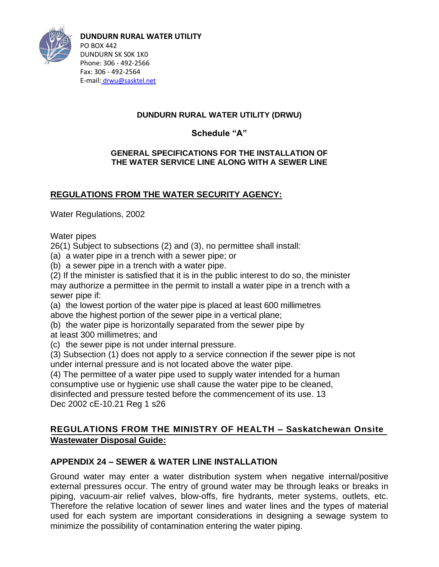

**DUNDURN RURAL WATER UTILITY** PO BOX 442 DUNDURN SK S0K 1K0 Phone: 306 - 492-2566 Fax: 306 - 492-2564 E-mail: [drwu@sasktel.net](mailto:drwu@sasktel.net)

## **DUNDURN RURAL WATER UTILITY (DRWU)**

**Schedule "A"**

### **GENERAL SPECIFICATIONS FOR THE INSTALLATION OF THE WATER SERVICE LINE ALONG WITH A SEWER LINE**

# **REGULATIONS FROM THE WATER SECURITY AGENCY:**

Water Regulations, 2002

Water pipes

26(1) Subject to subsections (2) and (3), no permittee shall install:

(a) a water pipe in a trench with a sewer pipe; or

(b) a sewer pipe in a trench with a water pipe.

(2) If the minister is satisfied that it is in the public interest to do so, the minister may authorize a permittee in the permit to install a water pipe in a trench with a sewer pipe if:

(a) the lowest portion of the water pipe is placed at least 600 millimetres above the highest portion of the sewer pipe in a vertical plane;

(b) the water pipe is horizontally separated from the sewer pipe by at least 300 millimetres; and

(c) the sewer pipe is not under internal pressure.

(3) Subsection (1) does not apply to a service connection if the sewer pipe is not under internal pressure and is not located above the water pipe.

(4) The permittee of a water pipe used to supply water intended for a human consumptive use or hygienic use shall cause the water pipe to be cleaned, disinfected and pressure tested before the commencement of its use. 13

Dec 2002 cE-10.21 Reg 1 s26

# **REGULATIONS FROM THE MINISTRY OF HEALTH – Saskatchewan Onsite Wastewater Disposal Guide:**

# **APPENDIX 24 – SEWER & WATER LINE INSTALLATION**

Ground water may enter a water distribution system when negative internal/positive external pressures occur. The entry of ground water may be through leaks or breaks in piping, vacuum-air relief valves, blow-offs, fire hydrants, meter systems, outlets, etc. Therefore the relative location of sewer lines and water lines and the types of material used for each system are important considerations in designing a sewage system to minimize the possibility of contamination entering the water piping.